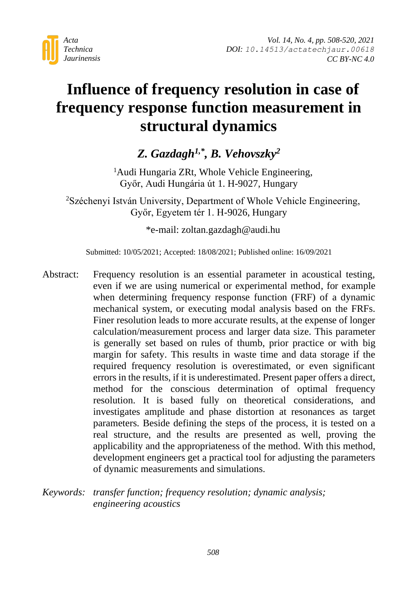

# **Influence of frequency resolution in case of frequency response function measurement in structural dynamics**

## *Z. Gazdagh1,\* , B. Vehovszky<sup>2</sup>*

<sup>1</sup>Audi Hungaria ZRt, Whole Vehicle Engineering, Győr, Audi Hungária út 1. H-9027, Hungary

<sup>2</sup>Széchenyi István University, Department of Whole Vehicle Engineering, Győr, Egyetem tér 1. H-9026, Hungary

\*e-mail: zoltan.gazdagh@audi.hu

Submitted: 10/05/2021; Accepted: 18/08/2021; Published online: 16/09/2021

- Abstract: Frequency resolution is an essential parameter in acoustical testing, even if we are using numerical or experimental method, for example when determining frequency response function (FRF) of a dynamic mechanical system, or executing modal analysis based on the FRFs. Finer resolution leads to more accurate results, at the expense of longer calculation/measurement process and larger data size. This parameter is generally set based on rules of thumb, prior practice or with big margin for safety. This results in waste time and data storage if the required frequency resolution is overestimated, or even significant errors in the results, if it is underestimated. Present paper offers a direct, method for the conscious determination of optimal frequency resolution. It is based fully on theoretical considerations, and investigates amplitude and phase distortion at resonances as target parameters. Beside defining the steps of the process, it is tested on a real structure, and the results are presented as well, proving the applicability and the appropriateness of the method. With this method, development engineers get a practical tool for adjusting the parameters of dynamic measurements and simulations.
- *Keywords: transfer function; frequency resolution; dynamic analysis; engineering acoustics*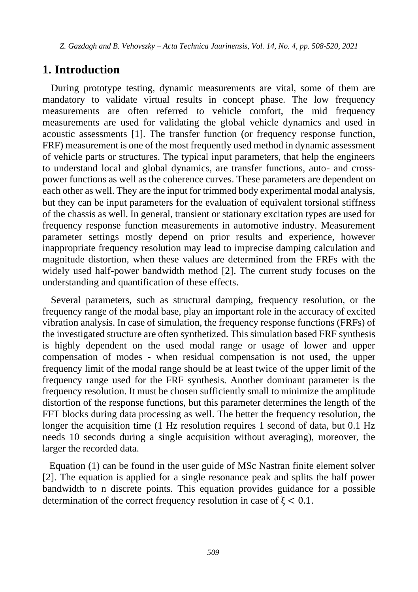#### **1. Introduction**

During prototype testing, dynamic measurements are vital, some of them are mandatory to validate virtual results in concept phase. The low frequency measurements are often referred to vehicle comfort, the mid frequency measurements are used for validating the global vehicle dynamics and used in acoustic assessments [1]. The transfer function (or frequency response function, FRF) measurement is one of the most frequently used method in dynamic assessment of vehicle parts or structures. The typical input parameters, that help the engineers to understand local and global dynamics, are transfer functions, auto- and crosspower functions as well as the coherence curves. These parameters are dependent on each other as well. They are the input for trimmed body experimental modal analysis, but they can be input parameters for the evaluation of equivalent torsional stiffness of the chassis as well. In general, transient or stationary excitation types are used for frequency response function measurements in automotive industry. Measurement parameter settings mostly depend on prior results and experience, however inappropriate frequency resolution may lead to imprecise damping calculation and magnitude distortion, when these values are determined from the FRFs with the widely used half-power bandwidth method [2]. The current study focuses on the understanding and quantification of these effects.

Several parameters, such as structural damping, frequency resolution, or the frequency range of the modal base, play an important role in the accuracy of excited vibration analysis. In case of simulation, the frequency response functions (FRFs) of the investigated structure are often synthetized. This simulation based FRF synthesis is highly dependent on the used modal range or usage of lower and upper compensation of modes - when residual compensation is not used, the upper frequency limit of the modal range should be at least twice of the upper limit of the frequency range used for the FRF synthesis. Another dominant parameter is the frequency resolution. It must be chosen sufficiently small to minimize the amplitude distortion of the response functions, but this parameter determines the length of the FFT blocks during data processing as well. The better the frequency resolution, the longer the acquisition time (1 Hz resolution requires 1 second of data, but 0.1 Hz needs 10 seconds during a single acquisition without averaging), moreover, the larger the recorded data.

Equation (1) can be found in the user guide of MSc Nastran finite element solver [2]. The equation is applied for a single resonance peak and splits the half power bandwidth to n discrete points. This equation provides guidance for a possible determination of the correct frequency resolution in case of  $\xi$  < 0.1.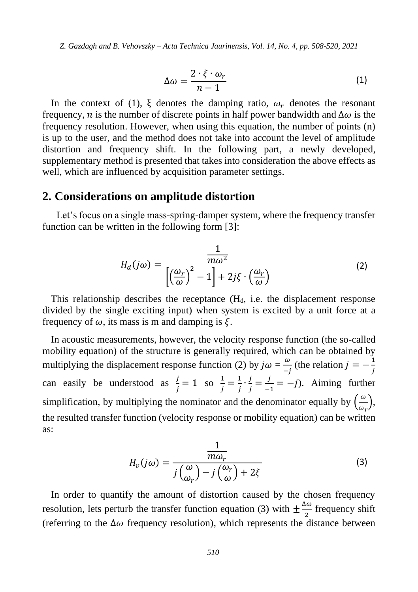$$
\Delta \omega = \frac{2 \cdot \xi \cdot \omega_r}{n - 1} \tag{1}
$$

In the context of (1),  $\xi$  denotes the damping ratio,  $\omega_r$  denotes the resonant frequency, *n* is the number of discrete points in half power bandwidth and  $\Delta \omega$  is the frequency resolution. However, when using this equation, the number of points (n) is up to the user, and the method does not take into account the level of amplitude distortion and frequency shift. In the following part, a newly developed, supplementary method is presented that takes into consideration the above effects as well, which are influenced by acquisition parameter settings.

#### **2. Considerations on amplitude distortion**

Let's focus on a single mass-spring-damper system, where the frequency transfer function can be written in the following form [3]:

$$
H_d(j\omega) = \frac{\frac{1}{m\omega^2}}{\left[\left(\frac{\omega_r}{\omega}\right)^2 - 1\right] + 2j\xi \cdot \left(\frac{\omega_r}{\omega}\right)}\tag{2}
$$

This relationship describes the receptance  $(H_d)$ , i.e. the displacement response divided by the single exciting input) when system is excited by a unit force at a frequency of  $\omega$ , its mass is m and damping is  $\xi$ .

In acoustic measurements, however, the velocity response function (the so-called mobility equation) of the structure is generally required, which can be obtained by multiplying the displacement response function (2) by  $j\omega = \frac{\omega}{\epsilon}$  $\frac{\omega}{-j}$  (the relation  $j = -\frac{1}{j}$ j can easily be understood as  $\frac{j}{j} = 1$  so  $\frac{1}{j}$  $\frac{1}{j} = \frac{1}{j}$  $\frac{1}{j}$ .  $\frac{j}{j}$  $\frac{j}{j} = \frac{j}{j}$  $\frac{f}{-1} = -j$ . Aiming further simplification, by multiplying the nominator and the denominator equally by  $\left(\frac{\omega}{\omega}\right)$  $\frac{\omega}{\omega_r}$ ), the resulted transfer function (velocity response or mobility equation) can be written as:

$$
H_{\nu}(j\omega) = \frac{\frac{1}{m\omega_r}}{j\left(\frac{\omega}{\omega_r}\right) - j\left(\frac{\omega_r}{\omega}\right) + 2\xi}
$$
\n(3)

In order to quantify the amount of distortion caused by the chosen frequency resolution, lets perturb the transfer function equation (3) with  $\pm \frac{\Delta \omega}{2}$  $\frac{100}{2}$  frequency shift (referring to the  $\Delta\omega$  frequency resolution), which represents the distance between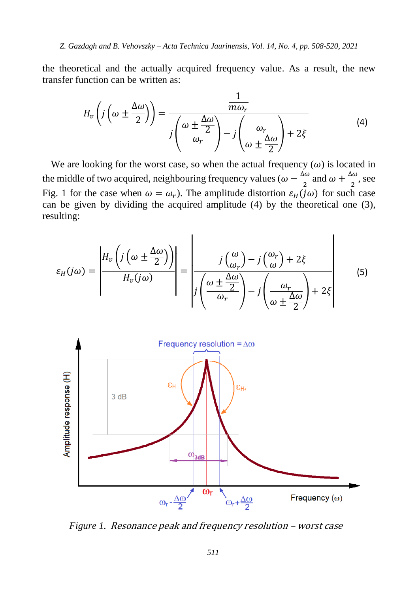the theoretical and the actually acquired frequency value. As a result, the new transfer function can be written as:

$$
H_v\left(j\left(\omega \pm \frac{\Delta\omega}{2}\right)\right) = \frac{\frac{1}{m\omega_r}}{j\left(\frac{\omega \pm \frac{\Delta\omega}{2}}{\omega_r}\right) - j\left(\frac{\omega_r}{\omega \pm \frac{\Delta\omega}{2}}\right) + 2\xi}
$$
(4)

1

We are looking for the worst case, so when the actual frequency  $(\omega)$  is located in the middle of two acquired, neighbouring frequency values ( $\omega - \frac{\Delta \omega}{2}$  $\frac{\Delta \omega}{2}$  and  $\omega + \frac{\Delta \omega}{2}$  $\frac{10}{2}$ , see Fig. 1 for the case when  $\omega = \omega_r$ ). The amplitude distortion  $\varepsilon_H(j\omega)$  for such case can be given by dividing the acquired amplitude (4) by the theoretical one (3), resulting:

$$
\varepsilon_{H}(j\omega) = \left| \frac{H_{\nu}\left(j\left(\omega \pm \frac{\Delta\omega}{2}\right)\right)}{H_{\nu}(j\omega)}\right| = \left|\frac{j\left(\frac{\omega}{\omega_{r}}\right) - j\left(\frac{\omega_{r}}{\omega}\right) + 2\xi}{j\left(\frac{\omega \pm \frac{\Delta\omega}{2}}{\omega_{r}}\right) - j\left(\frac{\omega_{r}}{\omega \pm \frac{\Delta\omega}{2}}\right) + 2\xi}\right| \tag{5}
$$



*Figure 1.* Resonance peak and frequency resolution – worst case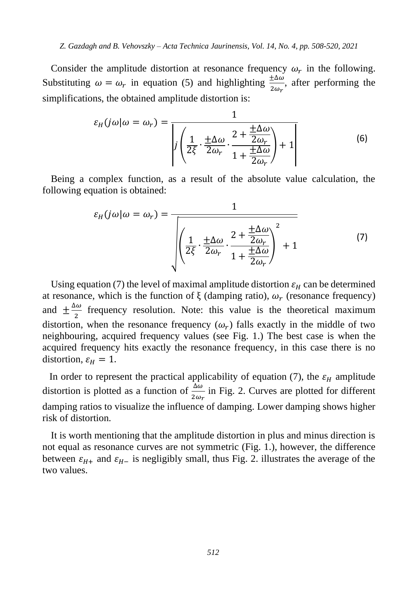Consider the amplitude distortion at resonance frequency  $\omega_r$  in the following. Substituting  $\omega = \omega_r$  in equation (5) and highlighting  $\frac{\pm \Delta \omega}{2\omega_r}$ , after performing the simplifications, the obtained amplitude distortion is:

$$
\varepsilon_H(j\omega|\omega = \omega_r) = \frac{1}{\left|j\left(\frac{1}{2\xi} \cdot \frac{\pm \Delta\omega}{2\omega_r} \cdot \frac{2 + \frac{\pm \Delta\omega}{2\omega_r}}{1 + \frac{\pm \Delta\omega}{2\omega_r}}\right) + 1\right|}
$$
(6)

Being a complex function, as a result of the absolute value calculation, the following equation is obtained:

$$
\varepsilon_H(j\omega|\omega = \omega_r) = \frac{1}{\sqrt{\left(\frac{1}{2\xi} \cdot \frac{\pm \Delta \omega}{2\omega_r} \cdot \frac{2 + \frac{\pm \Delta \omega}{2\omega_r}}{1 + \frac{\pm \Delta \omega}{2\omega_r}}\right)^2 + 1}}
$$
(7)

Using equation (7) the level of maximal amplitude distortion  $\varepsilon_H$  can be determined at resonance, which is the function of  $\xi$  (damping ratio),  $\omega_r$  (resonance frequency) and  $\pm \frac{\Delta \omega}{2}$  $\frac{20}{2}$  frequency resolution. Note: this value is the theoretical maximum distortion, when the resonance frequency  $(\omega_r)$  falls exactly in the middle of two neighbouring, acquired frequency values (see Fig. 1.) The best case is when the acquired frequency hits exactly the resonance frequency, in this case there is no distortion,  $\varepsilon_H = 1$ .

In order to represent the practical applicability of equation (7), the  $\varepsilon_H$  amplitude distortion is plotted as a function of  $\frac{\Delta\omega}{2\omega_r}$  in Fig. 2. Curves are plotted for different damping ratios to visualize the influence of damping. Lower damping shows higher risk of distortion.

It is worth mentioning that the amplitude distortion in plus and minus direction is not equal as resonance curves are not symmetric (Fig. 1.), however, the difference between  $\varepsilon_{H+}$  and  $\varepsilon_{H-}$  is negligibly small, thus Fig. 2. illustrates the average of the two values.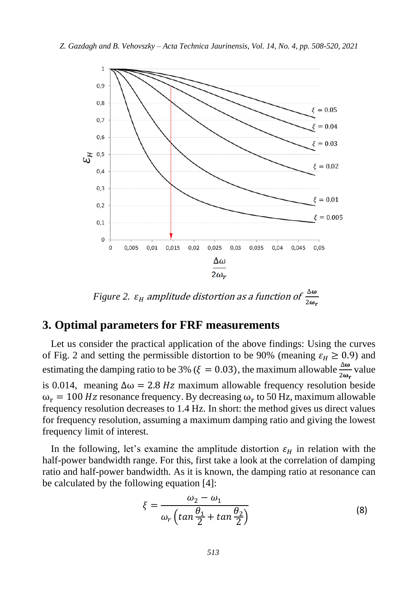

*Figure 2.*  $\varepsilon_{\rm H}$  amplitude distortion as a function of  $\frac{\Delta \omega}{2\omega}$  $2\omega_r$ 

#### **3. Optimal parameters for FRF measurements**

Let us consider the practical application of the above findings: Using the curves of Fig. 2 and setting the permissible distortion to be 90% (meaning  $\varepsilon_H \ge 0.9$ ) and estimating the damping ratio to be 3% ( $\xi = 0.03$ ), the maximum allowable  $\frac{\Delta \omega}{2\omega_r}$  value is 0.014, meaning  $\Delta \omega = 2.8 Hz$  maximum allowable frequency resolution beside  $\omega_r = 100$  Hz resonance frequency. By decreasing  $\omega_r$  to 50 Hz, maximum allowable frequency resolution decreases to 1.4 Hz. In short: the method gives us direct values for frequency resolution, assuming a maximum damping ratio and giving the lowest frequency limit of interest.

In the following, let's examine the amplitude distortion  $\varepsilon_H$  in relation with the half-power bandwidth range. For this, first take a look at the correlation of damping ratio and half-power bandwidth. As it is known, the damping ratio at resonance can be calculated by the following equation [4]:

$$
\xi = \frac{\omega_2 - \omega_1}{\omega_r \left(\tan \frac{\theta_1}{2} + \tan \frac{\theta_2}{2}\right)}\tag{8}
$$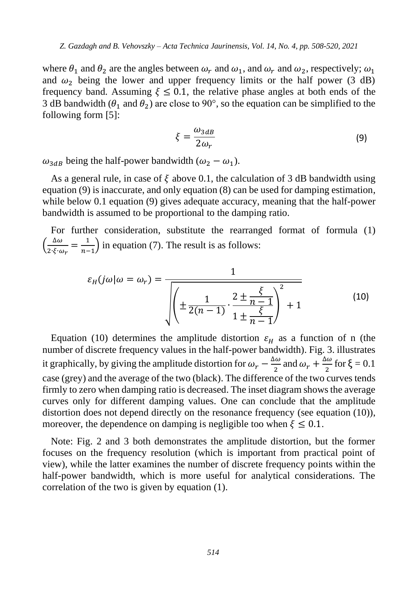where  $\theta_1$  and  $\theta_2$  are the angles between  $\omega_r$  and  $\omega_1$ , and  $\omega_r$  and  $\omega_2$ , respectively;  $\omega_1$ and  $\omega_2$  being the lower and upper frequency limits or the half power (3 dB) frequency band. Assuming  $\xi \le 0.1$ , the relative phase angles at both ends of the 3 dB bandwidth ( $\theta_1$  and  $\theta_2$ ) are close to 90°, so the equation can be simplified to the following form [5]:

$$
\xi = \frac{\omega_{3dB}}{2\omega_r} \tag{9}
$$

 $\omega_{3dB}$  being the half-power bandwidth ( $\omega_2 - \omega_1$ ).

As a general rule, in case of  $\xi$  above 0.1, the calculation of 3 dB bandwidth using equation (9) is inaccurate, and only equation (8) can be used for damping estimation, while below 0.1 equation (9) gives adequate accuracy, meaning that the half-power bandwidth is assumed to be proportional to the damping ratio.

For further consideration, substitute the rearranged format of formula (1)  $\left(\frac{\Delta\omega}{2\epsilon} \right)$  $\frac{\Delta\omega}{2\ \xi\cdot\omega_r}=\frac{1}{n-1}$  $\frac{1}{n-1}$ ) in equation (7). The result is as follows:

$$
\varepsilon_H(j\omega|\omega = \omega_r) = \frac{1}{\sqrt{\left(\pm \frac{1}{2(n-1)} \cdot \frac{2 \pm \frac{\xi}{n-1}}{1 \pm \frac{\xi}{n-1}}\right)^2 + 1}}
$$
(10)

Equation (10) determines the amplitude distortion  $\varepsilon_H$  as a function of n (the number of discrete frequency values in the half-power bandwidth). Fig. 3. illustrates it graphically, by giving the amplitude distortion for  $\omega_r - \frac{\Delta \omega_r}{2}$  $\frac{\Delta \omega}{2}$  and  $\omega_r + \frac{\Delta \omega}{2}$  $\frac{2}{2}$  for  $\xi = 0.1$ case (grey) and the average of the two (black). The difference of the two curves tends firmly to zero when damping ratio is decreased. The inset diagram shows the average curves only for different damping values. One can conclude that the amplitude distortion does not depend directly on the resonance frequency (see equation (10)), moreover, the dependence on damping is negligible too when  $\xi \leq 0.1$ .

Note: Fig. 2 and 3 both demonstrates the amplitude distortion, but the former focuses on the frequency resolution (which is important from practical point of view), while the latter examines the number of discrete frequency points within the half-power bandwidth, which is more useful for analytical considerations. The correlation of the two is given by equation (1).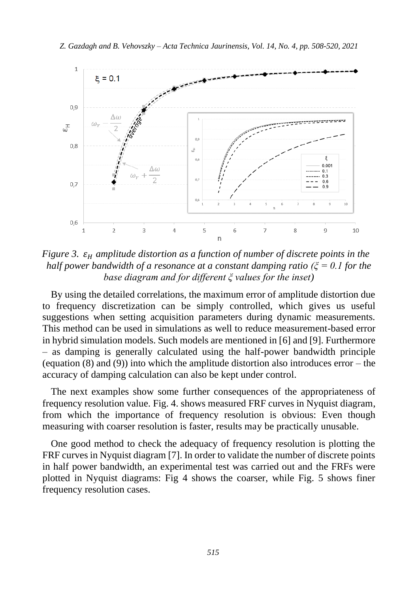

*Figure 3.*  $\varepsilon_H$  *amplitude distortion as a function of number of discrete points in the half power bandwidth of a resonance at a constant damping ratio (ξ = 0.1 for the base diagram and for different ξ values for the inset)*

By using the detailed correlations, the maximum error of amplitude distortion due to frequency discretization can be simply controlled, which gives us useful suggestions when setting acquisition parameters during dynamic measurements. This method can be used in simulations as well to reduce measurement-based error in hybrid simulation models. Such models are mentioned in [6] and [9]. Furthermore – as damping is generally calculated using the half-power bandwidth principle (equation  $(8)$  and  $(9)$ ) into which the amplitude distortion also introduces error – the accuracy of damping calculation can also be kept under control.

The next examples show some further consequences of the appropriateness of frequency resolution value. Fig. 4. shows measured FRF curves in Nyquist diagram, from which the importance of frequency resolution is obvious: Even though measuring with coarser resolution is faster, results may be practically unusable.

One good method to check the adequacy of frequency resolution is plotting the FRF curves in Nyquist diagram [7]. In order to validate the number of discrete points in half power bandwidth, an experimental test was carried out and the FRFs were plotted in Nyquist diagrams: Fig 4 shows the coarser, while Fig. 5 shows finer frequency resolution cases.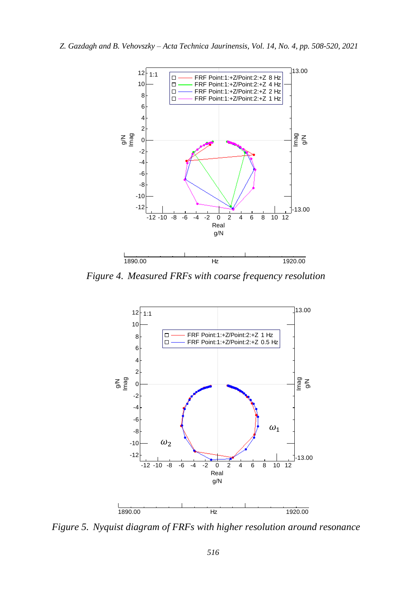

*Figure 4. Measured FRFs with coarse frequency resolution*



*Figure 5. Nyquist diagram of FRFs with higher resolution around resonance*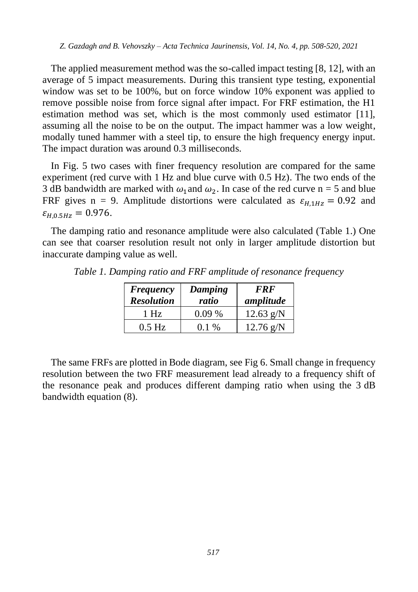The applied measurement method was the so-called impact testing [8, 12], with an average of 5 impact measurements. During this transient type testing, exponential window was set to be 100%, but on force window 10% exponent was applied to remove possible noise from force signal after impact. For FRF estimation, the H1 estimation method was set, which is the most commonly used estimator [11], assuming all the noise to be on the output. The impact hammer was a low weight, modally tuned hammer with a steel tip, to ensure the high frequency energy input. The impact duration was around 0.3 milliseconds.

In Fig. 5 two cases with finer frequency resolution are compared for the same experiment (red curve with 1 Hz and blue curve with 0.5 Hz). The two ends of the 3 dB bandwidth are marked with  $\omega_1$  and  $\omega_2$ . In case of the red curve n = 5 and blue FRF gives n = 9. Amplitude distortions were calculated as  $\varepsilon_{H1Hz} = 0.92$  and  $\varepsilon_{H,0.5 Hz} = 0.976.$ 

The damping ratio and resonance amplitude were also calculated (Table 1.) One can see that coarser resolution result not only in larger amplitude distortion but inaccurate damping value as well.

| <b>Frequency</b><br><b>Resolution</b> | Damping<br>ratio | <b>FRF</b><br>amplitude |
|---------------------------------------|------------------|-------------------------|
| 1 Hz                                  | $0.09\%$         | $12.63$ g/N             |
| $0.5$ Hz                              | $0.1\%$          | $12.76$ g/N             |

*Table 1. Damping ratio and FRF amplitude of resonance frequency*

The same FRFs are plotted in Bode diagram, see Fig 6. Small change in frequency resolution between the two FRF measurement lead already to a frequency shift of the resonance peak and produces different damping ratio when using the 3 dB bandwidth equation (8).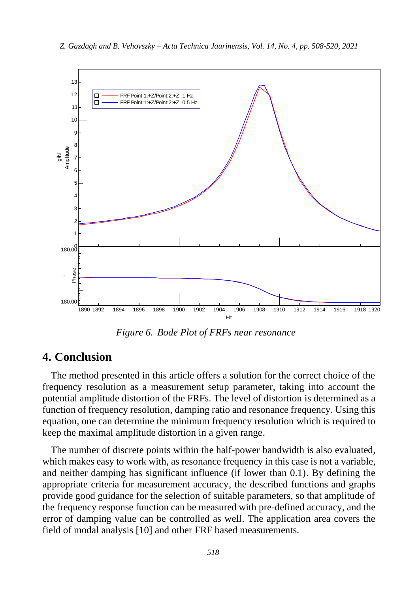

*Figure 6. Bode Plot of FRFs near resonance*

#### **4. Conclusion**

The method presented in this article offers a solution for the correct choice of the frequency resolution as a measurement setup parameter, taking into account the potential amplitude distortion of the FRFs. The level of distortion is determined as a function of frequency resolution, damping ratio and resonance frequency. Using this equation, one can determine the minimum frequency resolution which is required to keep the maximal amplitude distortion in a given range.

The number of discrete points within the half-power bandwidth is also evaluated, which makes easy to work with, as resonance frequency in this case is not a variable. and neither damping has significant influence (if lower than 0.1). By defining the appropriate criteria for measurement accuracy, the described functions and graphs provide good guidance for the selection of suitable parameters, so that amplitude of the frequency response function can be measured with pre-defined accuracy, and the error of damping value can be controlled as well. The application area covers the field of modal analysis [10] and other FRF based measurements.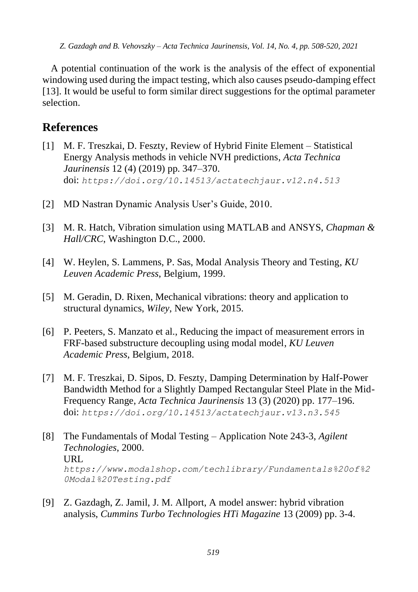A potential continuation of the work is the analysis of the effect of exponential windowing used during the impact testing, which also causes pseudo-damping effect [13]. It would be useful to form similar direct suggestions for the optimal parameter selection.

### **References**

- [1] M. F. Treszkai, D. Feszty, Review of Hybrid Finite Element Statistical Energy Analysis methods in vehicle NVH predictions, *Acta Technica Jaurinensis* 12 (4) (2019) pp. 347–370. doi: *<https://doi.org/10.14513/actatechjaur.v12.n4.513>*
- [2] MD Nastran Dynamic Analysis User's Guide, 2010.
- [3] M. R. Hatch, Vibration simulation using MATLAB and ANSYS, *Chapman & Hall/CRC*, Washington D.C., 2000.
- [4] W. Heylen, S. Lammens, P. Sas, Modal Analysis Theory and Testing, *KU Leuven Academic Press*, Belgium, 1999.
- [5] M. Geradin, D. Rixen, Mechanical vibrations: theory and application to structural dynamics, *Wiley*, New York, 2015.
- [6] P. Peeters, S. Manzato et al., Reducing the impact of measurement errors in FRF-based substructure decoupling using modal model, *KU Leuven Academic Press*, Belgium, 2018.
- [7] M. F. Treszkai, D. Sipos, D. Feszty, Damping Determination by Half-Power Bandwidth Method for a Slightly Damped Rectangular Steel Plate in the Mid-Frequency Range, *Acta Technica Jaurinensis* 13 (3) (2020) pp. 177–196. doi: *<https://doi.org/10.14513/actatechjaur.v13.n3.545>*
- [8] The Fundamentals of Modal Testing Application Note 243-3, *Agilent Technologies*, 2000. URL *https://www.modalshop.com/techlibrary/Fundamentals%20of%2 0Modal%20Testing.pdf*
- [9] Z. Gazdagh, Z. Jamil, J. M. Allport, A model answer: hybrid vibration analysis, *Cummins Turbo Technologies HTi Magazine* 13 (2009) pp. 3-4.